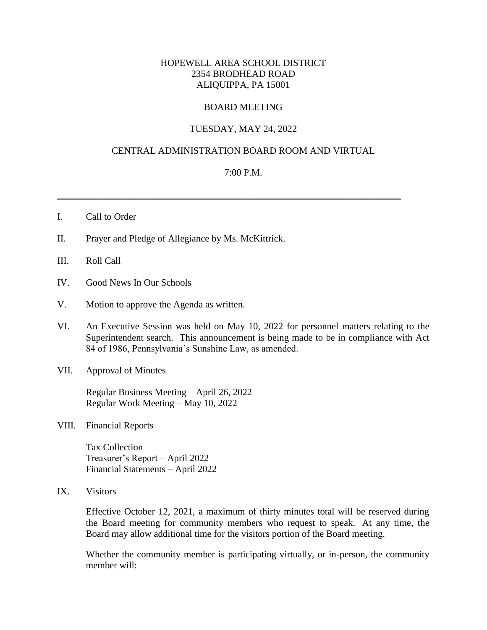# HOPEWELL AREA SCHOOL DISTRICT 2354 BRODHEAD ROAD ALIQUIPPA, PA 15001

## BOARD MEETING

## TUESDAY, MAY 24, 2022

## CENTRAL ADMINISTRATION BOARD ROOM AND VIRTUAL

### 7:00 P.M.

\_\_\_\_\_\_\_\_\_\_\_\_\_\_\_\_\_\_\_\_\_\_\_\_\_\_\_\_\_\_\_\_\_\_\_\_\_\_\_\_\_\_\_\_\_\_\_\_\_\_\_\_\_\_\_\_\_\_\_\_\_\_\_\_\_\_\_\_\_\_\_\_

#### I. Call to Order

- II. Prayer and Pledge of Allegiance by Ms. McKittrick.
- III. Roll Call
- IV. Good News In Our Schools
- V. Motion to approve the Agenda as written.
- VI. An Executive Session was held on May 10, 2022 for personnel matters relating to the Superintendent search. This announcement is being made to be in compliance with Act 84 of 1986, Pennsylvania's Sunshine Law, as amended.
- VII. Approval of Minutes

Regular Business Meeting – April 26, 2022 Regular Work Meeting – May 10, 2022

VIII. Financial Reports

Tax Collection Treasurer's Report – April 2022 Financial Statements – April 2022

IX. Visitors

Effective October 12, 2021, a maximum of thirty minutes total will be reserved during the Board meeting for community members who request to speak. At any time, the Board may allow additional time for the visitors portion of the Board meeting.

Whether the community member is participating virtually, or in-person, the community member will: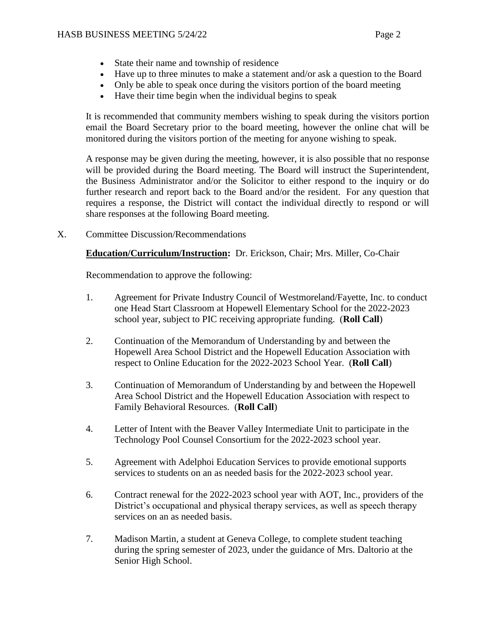- State their name and township of residence
- Have up to three minutes to make a statement and/or ask a question to the Board
- Only be able to speak once during the visitors portion of the board meeting
- Have their time begin when the individual begins to speak

It is recommended that community members wishing to speak during the visitors portion email the Board Secretary prior to the board meeting, however the online chat will be monitored during the visitors portion of the meeting for anyone wishing to speak.

A response may be given during the meeting, however, it is also possible that no response will be provided during the Board meeting. The Board will instruct the Superintendent, the Business Administrator and/or the Solicitor to either respond to the inquiry or do further research and report back to the Board and/or the resident. For any question that requires a response, the District will contact the individual directly to respond or will share responses at the following Board meeting.

X. Committee Discussion/Recommendations

**Education/Curriculum/Instruction:** Dr. Erickson, Chair; Mrs. Miller, Co-Chair

Recommendation to approve the following:

- 1. Agreement for Private Industry Council of Westmoreland/Fayette, Inc. to conduct one Head Start Classroom at Hopewell Elementary School for the 2022-2023 school year, subject to PIC receiving appropriate funding. (**Roll Call**)
- 2. Continuation of the Memorandum of Understanding by and between the Hopewell Area School District and the Hopewell Education Association with respect to Online Education for the 2022-2023 School Year. (**Roll Call**)
- 3. Continuation of Memorandum of Understanding by and between the Hopewell Area School District and the Hopewell Education Association with respect to Family Behavioral Resources. (**Roll Call**)
- 4. Letter of Intent with the Beaver Valley Intermediate Unit to participate in the Technology Pool Counsel Consortium for the 2022-2023 school year.
- 5. Agreement with Adelphoi Education Services to provide emotional supports services to students on an as needed basis for the 2022-2023 school year.
- 6. Contract renewal for the 2022-2023 school year with AOT, Inc., providers of the District's occupational and physical therapy services, as well as speech therapy services on an as needed basis.
- 7. Madison Martin, a student at Geneva College, to complete student teaching during the spring semester of 2023, under the guidance of Mrs. Daltorio at the Senior High School.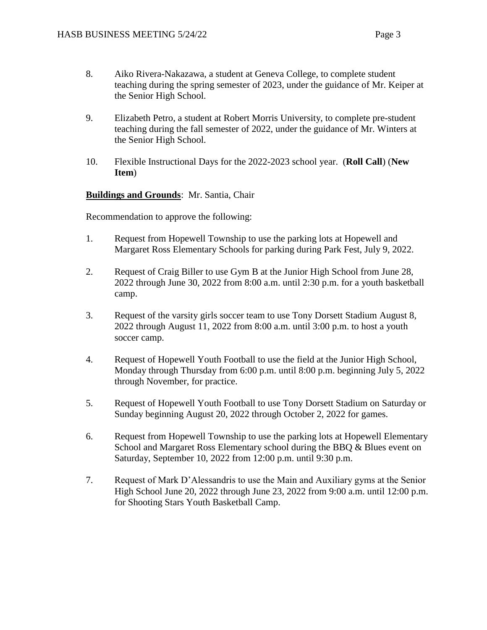- 8. Aiko Rivera-Nakazawa, a student at Geneva College, to complete student teaching during the spring semester of 2023, under the guidance of Mr. Keiper at the Senior High School.
- 9. Elizabeth Petro, a student at Robert Morris University, to complete pre-student teaching during the fall semester of 2022, under the guidance of Mr. Winters at the Senior High School.
- 10. Flexible Instructional Days for the 2022-2023 school year. (**Roll Call**) (**New Item**)

# **Buildings and Grounds**: Mr. Santia, Chair

Recommendation to approve the following:

- 1. Request from Hopewell Township to use the parking lots at Hopewell and Margaret Ross Elementary Schools for parking during Park Fest, July 9, 2022.
- 2. Request of Craig Biller to use Gym B at the Junior High School from June 28, 2022 through June 30, 2022 from 8:00 a.m. until 2:30 p.m. for a youth basketball camp.
- 3. Request of the varsity girls soccer team to use Tony Dorsett Stadium August 8, 2022 through August 11, 2022 from 8:00 a.m. until 3:00 p.m. to host a youth soccer camp.
- 4. Request of Hopewell Youth Football to use the field at the Junior High School, Monday through Thursday from 6:00 p.m. until 8:00 p.m. beginning July 5, 2022 through November, for practice.
- 5. Request of Hopewell Youth Football to use Tony Dorsett Stadium on Saturday or Sunday beginning August 20, 2022 through October 2, 2022 for games.
- 6. Request from Hopewell Township to use the parking lots at Hopewell Elementary School and Margaret Ross Elementary school during the BBQ & Blues event on Saturday, September 10, 2022 from 12:00 p.m. until 9:30 p.m.
- 7. Request of Mark D'Alessandris to use the Main and Auxiliary gyms at the Senior High School June 20, 2022 through June 23, 2022 from 9:00 a.m. until 12:00 p.m. for Shooting Stars Youth Basketball Camp.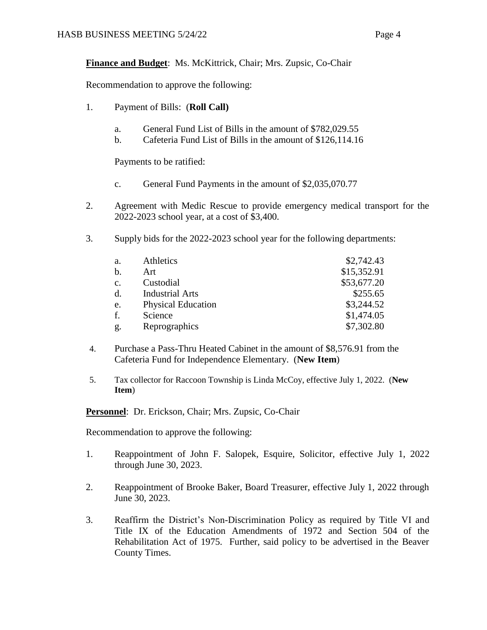**Finance and Budget**: Ms. McKittrick, Chair; Mrs. Zupsic, Co-Chair

Recommendation to approve the following:

- 1. Payment of Bills: (**Roll Call)**
	- a. General Fund List of Bills in the amount of \$782,029.55
	- b. Cafeteria Fund List of Bills in the amount of \$126,114.16

Payments to be ratified:

- c. General Fund Payments in the amount of \$2,035,070.77
- 2. Agreement with Medic Rescue to provide emergency medical transport for the 2022-2023 school year, at a cost of \$3,400.
- 3. Supply bids for the 2022-2023 school year for the following departments:

| \$2,742.43<br>\$15,352.91 |
|---------------------------|
|                           |
|                           |
| \$53,677.20               |
| \$255.65                  |
| \$3,244.52                |
| \$1,474.05                |
| \$7,302.80                |
|                           |

- 4. Purchase a Pass-Thru Heated Cabinet in the amount of \$8,576.91 from the Cafeteria Fund for Independence Elementary. (**New Item**)
- 5. Tax collector for Raccoon Township is Linda McCoy, effective July 1, 2022. (**New Item**)

**Personnel**: Dr. Erickson, Chair; Mrs. Zupsic, Co-Chair

Recommendation to approve the following:

- 1. Reappointment of John F. Salopek, Esquire, Solicitor, effective July 1, 2022 through June 30, 2023.
- 2. Reappointment of Brooke Baker, Board Treasurer, effective July 1, 2022 through June 30, 2023.
- 3. Reaffirm the District's Non-Discrimination Policy as required by Title VI and Title IX of the Education Amendments of 1972 and Section 504 of the Rehabilitation Act of 1975. Further, said policy to be advertised in the Beaver County Times.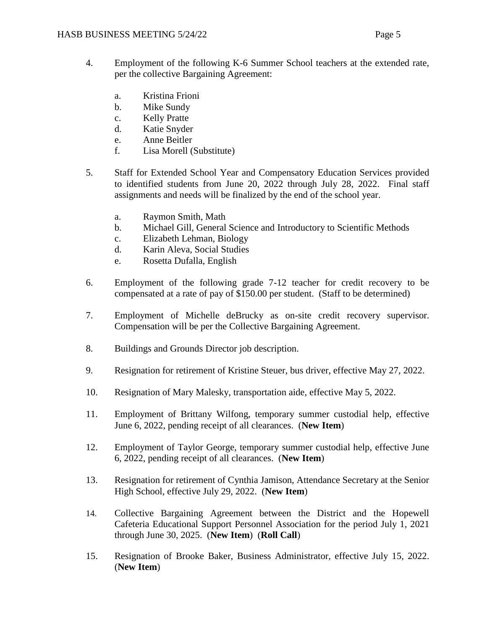- 4. Employment of the following K-6 Summer School teachers at the extended rate, per the collective Bargaining Agreement:
	- a. Kristina Frioni
	- b. Mike Sundy
	- c. Kelly Pratte
	- d. Katie Snyder
	- e. Anne Beitler
	- f. Lisa Morell (Substitute)
- 5. Staff for Extended School Year and Compensatory Education Services provided to identified students from June 20, 2022 through July 28, 2022. Final staff assignments and needs will be finalized by the end of the school year.
	- a. Raymon Smith, Math
	- b. Michael Gill, General Science and Introductory to Scientific Methods
	- c. Elizabeth Lehman, Biology
	- d. Karin Aleva, Social Studies
	- e. Rosetta Dufalla, English
- 6. Employment of the following grade 7-12 teacher for credit recovery to be compensated at a rate of pay of \$150.00 per student. (Staff to be determined)
- 7. Employment of Michelle deBrucky as on-site credit recovery supervisor. Compensation will be per the Collective Bargaining Agreement.
- 8. Buildings and Grounds Director job description.
- 9. Resignation for retirement of Kristine Steuer, bus driver, effective May 27, 2022.
- 10. Resignation of Mary Malesky, transportation aide, effective May 5, 2022.
- 11. Employment of Brittany Wilfong, temporary summer custodial help, effective June 6, 2022, pending receipt of all clearances. (**New Item**)
- 12. Employment of Taylor George, temporary summer custodial help, effective June 6, 2022, pending receipt of all clearances. (**New Item**)
- 13. Resignation for retirement of Cynthia Jamison, Attendance Secretary at the Senior High School, effective July 29, 2022. (**New Item**)
- 14. Collective Bargaining Agreement between the District and the Hopewell Cafeteria Educational Support Personnel Association for the period July 1, 2021 through June 30, 2025. (**New Item**) (**Roll Call**)
- 15. Resignation of Brooke Baker, Business Administrator, effective July 15, 2022. (**New Item**)